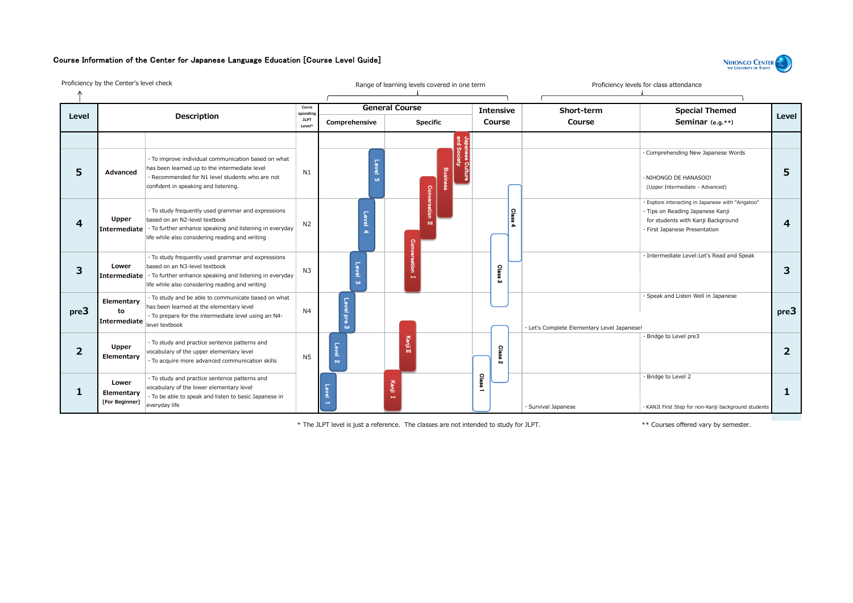## Course Information of the Center for Japanese Language Education [Course Level Guide]



Proficiency by the Center's level check **Range of learning levels covered in one term** Proficiency levels for class attendance General Course **Intensive Corre Short-term Special Themed sponding Level Description Level JLPT Course Seminar(e.g.\*\*) Comprehensive Specific Course Level\*** and Society Japanese Culture ・Comprehending New Japanese Words ・To improve individual communication based on what Level 5 has been learned up to the intermediate level **5 Advanced 5** N1 Business ・Recommended for N1 level students who are not ・NIHONGO DE HANASOO! confident in speaking and listening. (Upper Intermediate - Advanced) Conversation Ⅱ ・Explore interacting in Japanese with "Arigatoo" ・To study frequently used grammar and expressions  $\Omega$ ・Tips on Reading Japanese Kanji Level 4 **Upper** based on an N2-level textbook for students with Kanji Background **4 4** N2 **Intermediate** ・To further enhance speaking and listening in everyday 4 ・First Japanese Presentation life while also considering reading and writing Conversation Ⅰ ・Intermediate Level:Let's Read and Speak ・To study frequently used grammar and expressions **Lower** based on an N3-level textbook o **3** 2 Class 3 **3** N3 **Intermediate** ・To further enhance speaking and listening in everyday ō.  $\omega$ life while also considering reading and writing ・Speak and Listen Well in Japanese ・To study and be able to communicate based on what **Elementary** Level has been learned at the elementary level **pre3 to** N4 **pre3** ・To prepare for the intermediate level using an N4 pre 3 **Intermediate** level textbook ・Let's Complete Elementary Level Japanese! ・Bridge to Level pre3 ⅡKanjiⅡ ・To study and practice sentence patterns and **Upper** Kanji  $\Omega$ **2 2** vocabulary of the upper elementary level  $\tilde{\epsilon}$ **Elementary** ocabulary of the upper elementary level<br>To acquire more advanced communication skills N5 N ・Bridge to Level 2 ・To study and practice sentence patterns and Class 1 **Lower** Kanji Ⅰ vocabulary of the lower elementary level Level 1 **1 1 Elementary** ・To be able to speak and listen to basic Japanese in 漢 **[For Beginner]** 字 everyday life • Survival Japanese  $\lvert \cdot$  KANJI First Step for non-Kanji background students Ⅰ

\* The JLPT level is just a reference. The classes are not intended to study for JLPT. \*\* Courses offered vary by semester.